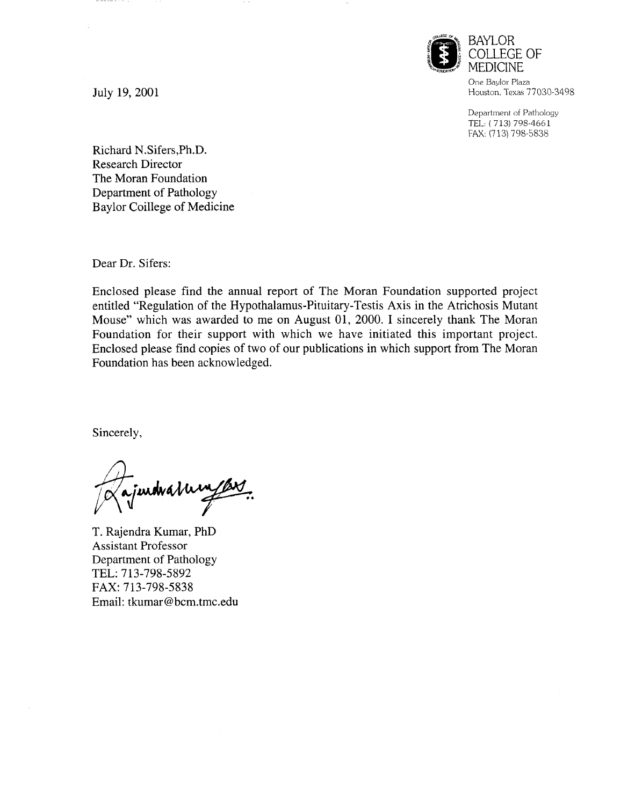

One Baylor Plaza Houston. Texas 77030-3498

Department of Pathology TEL ( 713) 798-4661 FAX: (713) 798-5838

July 19, 2001

------

Richard N.Sifers,Ph.D. Research Director The Moran Foundation Department of Pathology Baylor Coillege of Medicine

Dear Dr. Sifers:

Enclosed please find the annual report of The Moran Foundation supported project entitled "Regulation of the Hypothalamus-Pituitary-Testis Axis in the Atrichosis Mutant Mouse" which was awarded to me on August 01, 2000. I sincerely thank The Moran Foundation for their support with which we have initiated this important project. Enclosed please find copies of two of our publications in which support from The Moran Foundation has been acknowledged.

Sincerely,

indvatum

T. Rajendra Kumar, PhD Assistant Professor Department of Pathology TEL: 713-798-5892 FAX: 713-798-5838 Email: tkumar@bcm.tmc.edu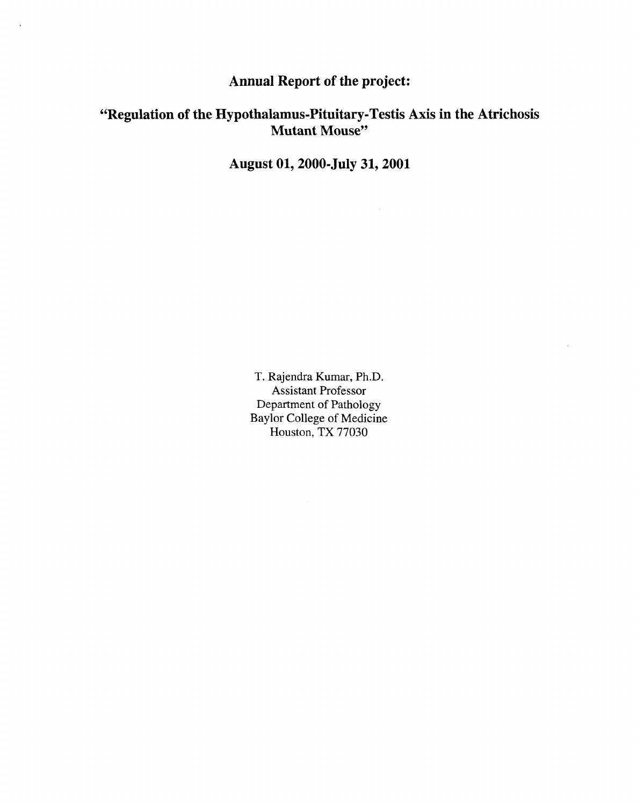## **Annual Report of the project:**

## **"Regulation of the Hypothalamus-Pituitary- Testis Axis in the Atrichosis Mutant Mouse"**

**August 01, 2000-July 31, 2001**

T. Rajendra Kumar, Ph.D. Assistant Professor Department of Pathology Baylor College of Medicine Houston, TX 77030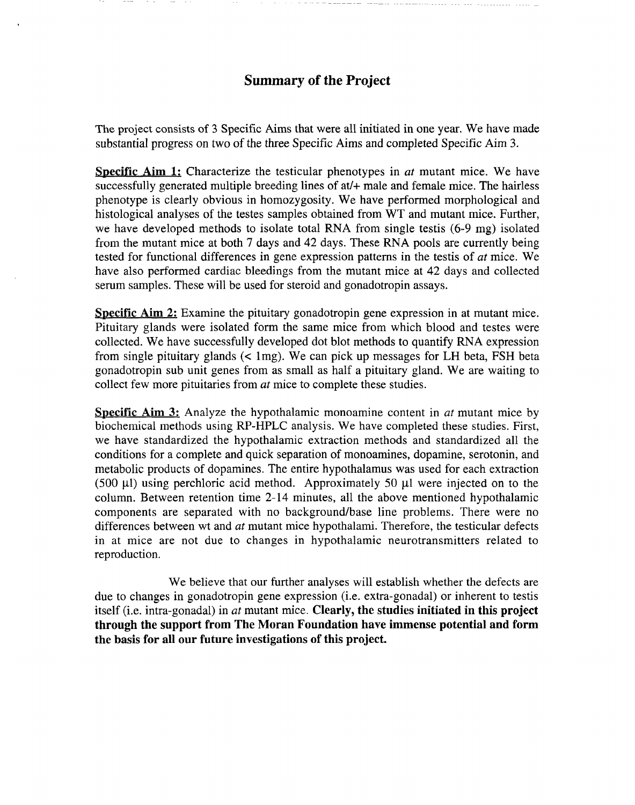## Summary of the Project

The project consists of 3 Specific Aims that were all initiated in one year. We have made substantial progress on two of the three Specific Aims and completed Specific Aim 3.

Specific Aim 1: Characterize the testicular phenotypes in *at* mutant mice. We have successfully generated multiple breeding lines of at/+ male and female mice. The hairless phenotype is clearly obvious in homozygosity. We have performed morphological and histological analyses of the testes samples obtained from WT and mutant mice. Further, we have developed methods to isolate total RNA from single testis (6-9 mg) isolated from the mutant mice at both 7 days and 42 days. These RNA pools are currently being tested for functional differences in gene expression patterns in the testis of *at* mice. We have also performed cardiac bleedings from the mutant mice at 42 days and collected serum samples. These will be used for steroid and gonadotropin assays.

Specific Aim 2: Examine the pituitary gonadotropin gene expression in at mutant mice. Pituitary glands were isolated form the same mice from which blood and testes were collected. We have successfully developed dot blot methods to quantify RNA expression from single pituitary glands  $(< \text{1mg})$ . We can pick up messages for LH beta, FSH beta gonadotropin sub unit genes from as small as half a pituitary gland. Weare waiting to collect few more pituitaries from *at* mice to complete these studies.

Specific Aim 3: Analyze the hypothalamic monoamine content in *at* mutant mice by biochemical methods using RP-HPLC analysis. We have completed these studies. First, we have standardized the hypothalamic extraction methods and standardized all the conditions for a complete and quick separation of monoamines, dopamine, serotonin, and metabolic products of dopamines. The entire hypothalamus was used for each extraction (500  $\mu$ l) using perchloric acid method. Approximately 50  $\mu$ l were injected on to the column. Between retention time 2-14 minutes, all the above mentioned hypothalamic components are separated with no background/base line problems. There were no differences between wt and *at* mutant mice hypothalami. Therefore, the testicular defects in at mice are not due to changes in hypothalamic neurotransmitters related to reproduction.

We believe that our further analyses will establish whether the defects are due to changes in gonadotropin gene expression (i.e. extra-gonadal) or inherent to testis itself (i.e. intra-gonadal) in *at* mutant mice. Clearly, the studies initiated in this project through the support from The Moran Foundation have immense potential and form the basis for all our future investigations of this project.